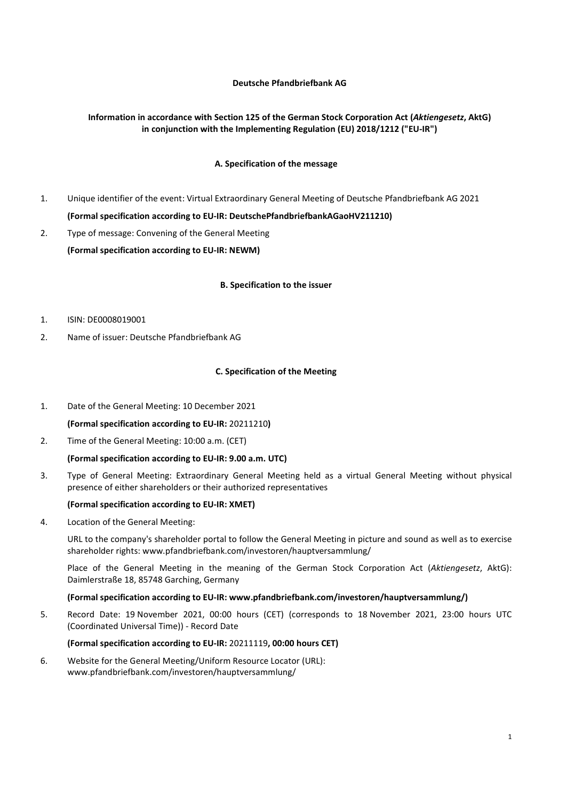## Deutsche Pfandbriefbank AG

# Information in accordance with Section 125 of the German Stock Corporation Act (Aktiengesetz, AktG) in conjunction with the Implementing Regulation (EU) 2018/1212 ("EU-IR")

# A. Specification of the message

- 1. Unique identifier of the event: Virtual Extraordinary General Meeting of Deutsche Pfandbriefbank AG 2021 (Formal specification according to EU-IR: DeutschePfandbriefbankAGaoHV211210)
- 2. Type of message: Convening of the General Meeting (Formal specification according to EU-IR: NEWM)

#### B. Specification to the issuer

### 1. ISIN: DE0008019001

2. Name of issuer: Deutsche Pfandbriefbank AG

#### C. Specification of the Meeting

1. Date of the General Meeting: 10 December 2021

(Formal specification according to EU-IR: 20211210)

2. Time of the General Meeting: 10:00 a.m. (CET)

### (Formal specification according to EU-IR: 9.00 a.m. UTC)

3. Type of General Meeting: Extraordinary General Meeting held as a virtual General Meeting without physical presence of either shareholders or their authorized representatives

## (Formal specification according to EU-IR: XMET)

4. Location of the General Meeting:

URL to the company's shareholder portal to follow the General Meeting in picture and sound as well as to exercise shareholder rights: www.pfandbriefbank.com/investoren/hauptversammlung/

Place of the General Meeting in the meaning of the German Stock Corporation Act (Aktiengesetz, AktG): Daimlerstraße 18, 85748 Garching, Germany

### (Formal specification according to EU-IR: www.pfandbriefbank.com/investoren/hauptversammlung/)

5. Record Date: 19 November 2021, 00:00 hours (CET) (corresponds to 18 November 2021, 23:00 hours UTC (Coordinated Universal Time)) - Record Date

#### (Formal specification according to EU-IR: 20211119, 00:00 hours CET)

6. Website for the General Meeting/Uniform Resource Locator (URL): www.pfandbriefbank.com/investoren/hauptversammlung/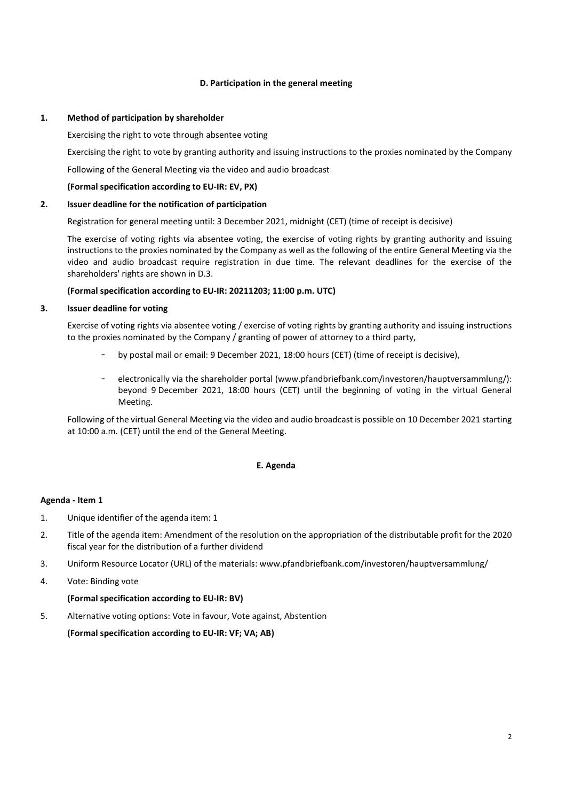## D. Participation in the general meeting

## 1. Method of participation by shareholder

Exercising the right to vote through absentee voting

Exercising the right to vote by granting authority and issuing instructions to the proxies nominated by the Company

Following of the General Meeting via the video and audio broadcast

## (Formal specification according to EU-IR: EV, PX)

## 2. Issuer deadline for the notification of participation

Registration for general meeting until: 3 December 2021, midnight (CET) (time of receipt is decisive)

The exercise of voting rights via absentee voting, the exercise of voting rights by granting authority and issuing instructions to the proxies nominated by the Company as well as the following of the entire General Meeting via the video and audio broadcast require registration in due time. The relevant deadlines for the exercise of the shareholders' rights are shown in D.3.

## (Formal specification according to EU-IR: 20211203; 11:00 p.m. UTC)

### 3. Issuer deadline for voting

 Exercise of voting rights via absentee voting / exercise of voting rights by granting authority and issuing instructions to the proxies nominated by the Company / granting of power of attorney to a third party,

- by postal mail or email: 9 December 2021, 18:00 hours (CET) (time of receipt is decisive),
- electronically via the shareholder portal (www.pfandbriefbank.com/investoren/hauptversammlung/): beyond 9 December 2021, 18:00 hours (CET) until the beginning of voting in the virtual General Meeting.

 Following of the virtual General Meeting via the video and audio broadcast is possible on 10 December 2021 starting at 10:00 a.m. (CET) until the end of the General Meeting.

### E. Agenda

### Agenda - Item 1

- 1. Unique identifier of the agenda item: 1
- 2. Title of the agenda item: Amendment of the resolution on the appropriation of the distributable profit for the 2020 fiscal year for the distribution of a further dividend
- 3. Uniform Resource Locator (URL) of the materials: www.pfandbriefbank.com/investoren/hauptversammlung/
- 4. Vote: Binding vote

### (Formal specification according to EU-IR: BV)

5. Alternative voting options: Vote in favour, Vote against, Abstention

(Formal specification according to EU-IR: VF; VA; AB)